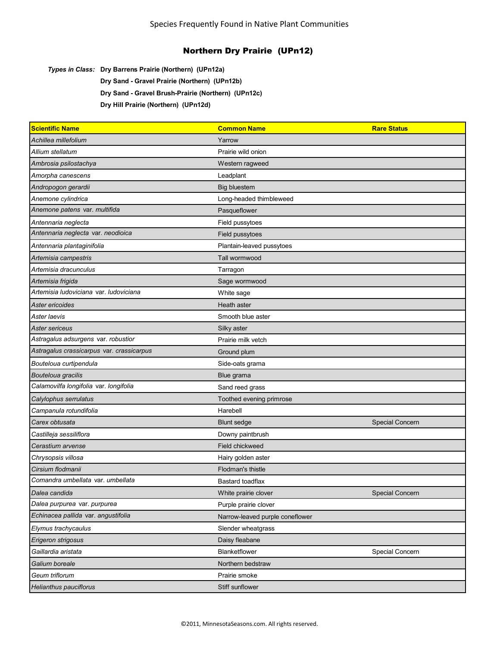*Types in Class:* **Dry Barrens Prairie (Northern) (UPn12a)**

**Dry Sand - Gravel Prairie (Northern) (UPn12b)**

**Dry Sand - Gravel Brush-Prairie (Northern) (UPn12c)**

**Dry Hill Prairie (Northern) (UPn12d)**

| <b>Scientific Name</b>                    | <b>Common Name</b>              | <b>Rare Status</b>     |
|-------------------------------------------|---------------------------------|------------------------|
| Achillea millefolium                      | Yarrow                          |                        |
| Allium stellatum                          | Prairie wild onion              |                        |
| Ambrosia psilostachya                     | Western ragweed                 |                        |
| Amorpha canescens                         | Leadplant                       |                        |
| Andropogon gerardii                       | <b>Big bluestem</b>             |                        |
| Anemone cylindrica                        | Long-headed thimbleweed         |                        |
| Anemone patens var. multifida             | Pasqueflower                    |                        |
| Antennaria neglecta                       | Field pussytoes                 |                        |
| Antennaria neglecta var. neodioica        | Field pussytoes                 |                        |
| Antennaria plantaginifolia                | Plantain-leaved pussytoes       |                        |
| Artemisia campestris                      | Tall wormwood                   |                        |
| Artemisia dracunculus                     | Tarragon                        |                        |
| Artemisia frigida                         | Sage wormwood                   |                        |
| Artemisia ludoviciana var. Iudoviciana    | White sage                      |                        |
| Aster ericoides                           | Heath aster                     |                        |
| Aster laevis                              | Smooth blue aster               |                        |
| Aster sericeus                            | Silky aster                     |                        |
| Astragalus adsurgens var. robustior       | Prairie milk vetch              |                        |
| Astragalus crassicarpus var. crassicarpus | Ground plum                     |                        |
| Bouteloua curtipendula                    | Side-oats grama                 |                        |
| Bouteloua gracilis                        | Blue grama                      |                        |
| Calamovilfa longifolia var. longifolia    | Sand reed grass                 |                        |
| Calylophus serrulatus                     | Toothed evening primrose        |                        |
| Campanula rotundifolia                    | Harebell                        |                        |
| Carex obtusata                            | <b>Blunt sedge</b>              | <b>Special Concern</b> |
| Castilleja sessiliflora                   | Downy paintbrush                |                        |
| Cerastium arvense                         | Field chickweed                 |                        |
| Chrysopsis villosa                        | Hairy golden aster              |                        |
| Cirsium flodmanii                         | Flodman's thistle               |                        |
| Comandra umbellata var. umbellata         | Bastard toadflax                |                        |
| Dalea candida                             | White prairie clover            | Special Concern        |
| Dalea purpurea var. purpurea              | Purple prairie clover           |                        |
| Echinacea pallida var. angustifolia       | Narrow-leaved purple coneflower |                        |
| Elymus trachycaulus                       | Slender wheatgrass              |                        |
| Erigeron strigosus                        | Daisy fleabane                  |                        |
| Gaillardia aristata                       | Blanketflower                   | Special Concern        |
| Galium boreale                            | Northern bedstraw               |                        |
| Geum triflorum                            | Prairie smoke                   |                        |
| <b>Helianthus pauciflorus</b>             | Stiff sunflower                 |                        |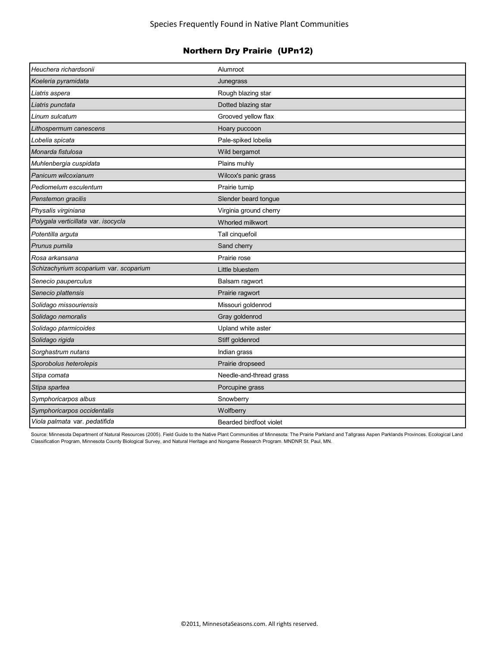| Heuchera richardsonii                  | Alumroot                |
|----------------------------------------|-------------------------|
| Koeleria pyramidata                    | Junegrass               |
| Liatris aspera                         | Rough blazing star      |
| Liatris punctata                       | Dotted blazing star     |
| Linum sulcatum                         | Grooved yellow flax     |
| Lithospermum canescens                 | Hoary puccoon           |
| Lobelia spicata                        | Pale-spiked lobelia     |
| Monarda fistulosa                      | Wild bergamot           |
| Muhlenbergia cuspidata                 | Plains muhly            |
| Panicum wilcoxianum                    | Wilcox's panic grass    |
| Pediomelum esculentum                  | Prairie turnip          |
| Penstemon gracilis                     | Slender beard tongue    |
| Physalis virginiana                    | Virginia ground cherry  |
| Polygala verticillata var. isocycla    | Whorled milkwort        |
| Potentilla arguta                      | Tall cinquefoil         |
| Prunus pumila                          | Sand cherry             |
| Rosa arkansana                         | Prairie rose            |
| Schizachyrium scoparium var. scoparium | Little bluestem         |
| Senecio pauperculus                    | Balsam ragwort          |
| Senecio plattensis                     | Prairie ragwort         |
| Solidago missouriensis                 | Missouri goldenrod      |
| Solidago nemoralis                     | Gray goldenrod          |
| Solidago ptarmicoides                  | Upland white aster      |
| Solidago rigida                        | Stiff goldenrod         |
| Sorghastrum nutans                     | Indian grass            |
| Sporobolus heterolepis                 | Prairie dropseed        |
| Stipa comata                           | Needle-and-thread grass |
| Stipa spartea                          | Porcupine grass         |
| Symphoricarpos albus                   | Snowberry               |
| Symphoricarpos occidentalis            | Wolfberry               |
| Viola palmata var. pedatifida          | Bearded birdfoot violet |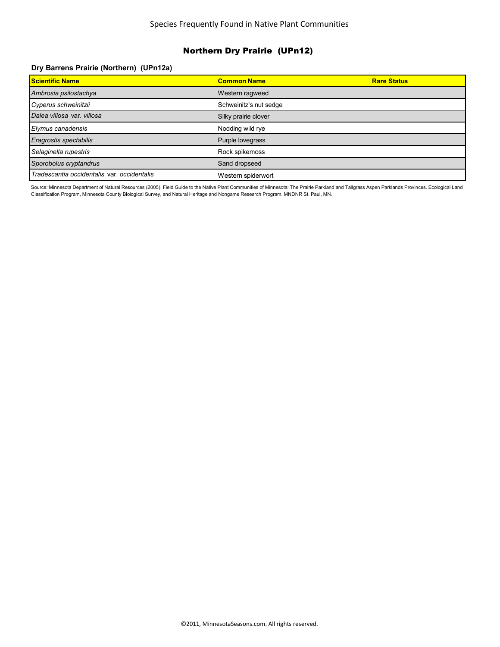#### **Dry Barrens Prairie (Northern) (UPn12a)**

| <b>Scientific Name</b>                      | <b>Common Name</b>     | <b>Rare Status</b> |
|---------------------------------------------|------------------------|--------------------|
| Ambrosia psilostachya                       | Western ragweed        |                    |
| Cyperus schweinitzii                        | Schweinitz's nut sedge |                    |
| Dalea villosa var. villosa                  | Silky prairie clover   |                    |
| Elymus canadensis                           | Nodding wild rye       |                    |
| Eragrostis spectabilis                      | Purple lovegrass       |                    |
| Selaginella rupestris                       | Rock spikemoss         |                    |
| Sporobolus cryptandrus                      | Sand dropseed          |                    |
| Tradescantia occidentalis var. occidentalis | Western spiderwort     |                    |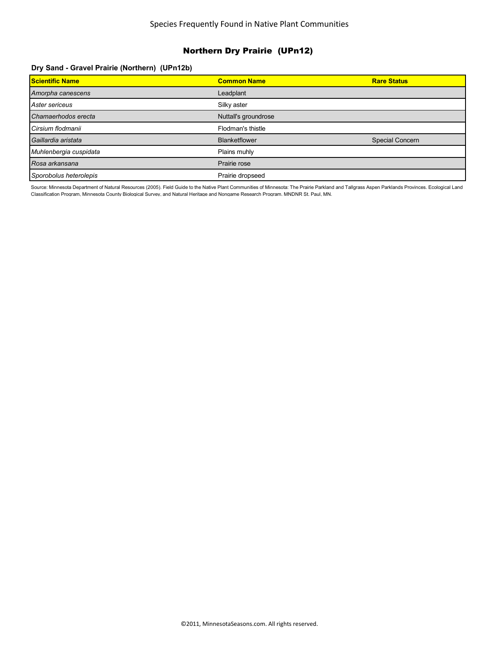### **Dry Sand - Gravel Prairie (Northern) (UPn12b)**

| <b>Scientific Name</b> | <b>Common Name</b>   | <b>Rare Status</b> |
|------------------------|----------------------|--------------------|
| Amorpha canescens      | Leadplant            |                    |
| Aster sericeus         | Silky aster          |                    |
| Chamaerhodos erecta    | Nuttall's groundrose |                    |
| Cirsium flodmanii      | Flodman's thistle    |                    |
| Gaillardia aristata    | <b>Blanketflower</b> | Special Concern    |
| Muhlenbergia cuspidata | Plains muhly         |                    |
| Rosa arkansana         | Prairie rose         |                    |
| Sporobolus heterolepis | Prairie dropseed     |                    |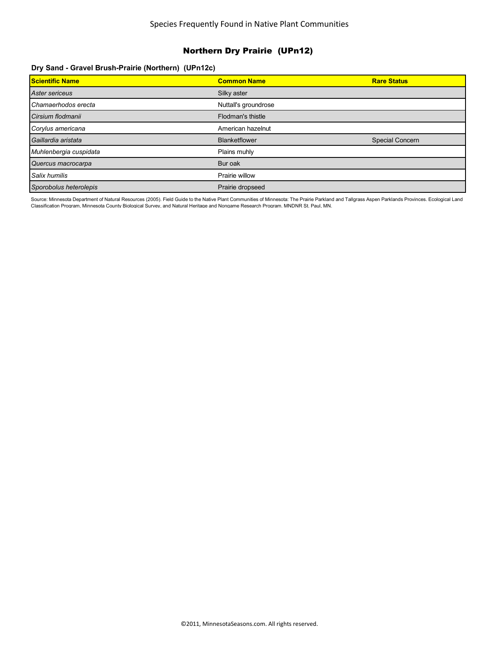### **Dry Sand - Gravel Brush-Prairie (Northern) (UPn12c)**

| <b>Scientific Name</b> | <b>Common Name</b>   | <b>Rare Status</b> |
|------------------------|----------------------|--------------------|
| Aster sericeus         | Silky aster          |                    |
| Chamaerhodos erecta    | Nuttall's groundrose |                    |
| Cirsium flodmanii      | Flodman's thistle    |                    |
| Corylus americana      | American hazelnut    |                    |
| Gaillardia aristata    | <b>Blanketflower</b> | Special Concern    |
| Muhlenbergia cuspidata | Plains muhly         |                    |
| Quercus macrocarpa     | Bur oak              |                    |
| Salix humilis          | Prairie willow       |                    |
| Sporobolus heterolepis | Prairie dropseed     |                    |